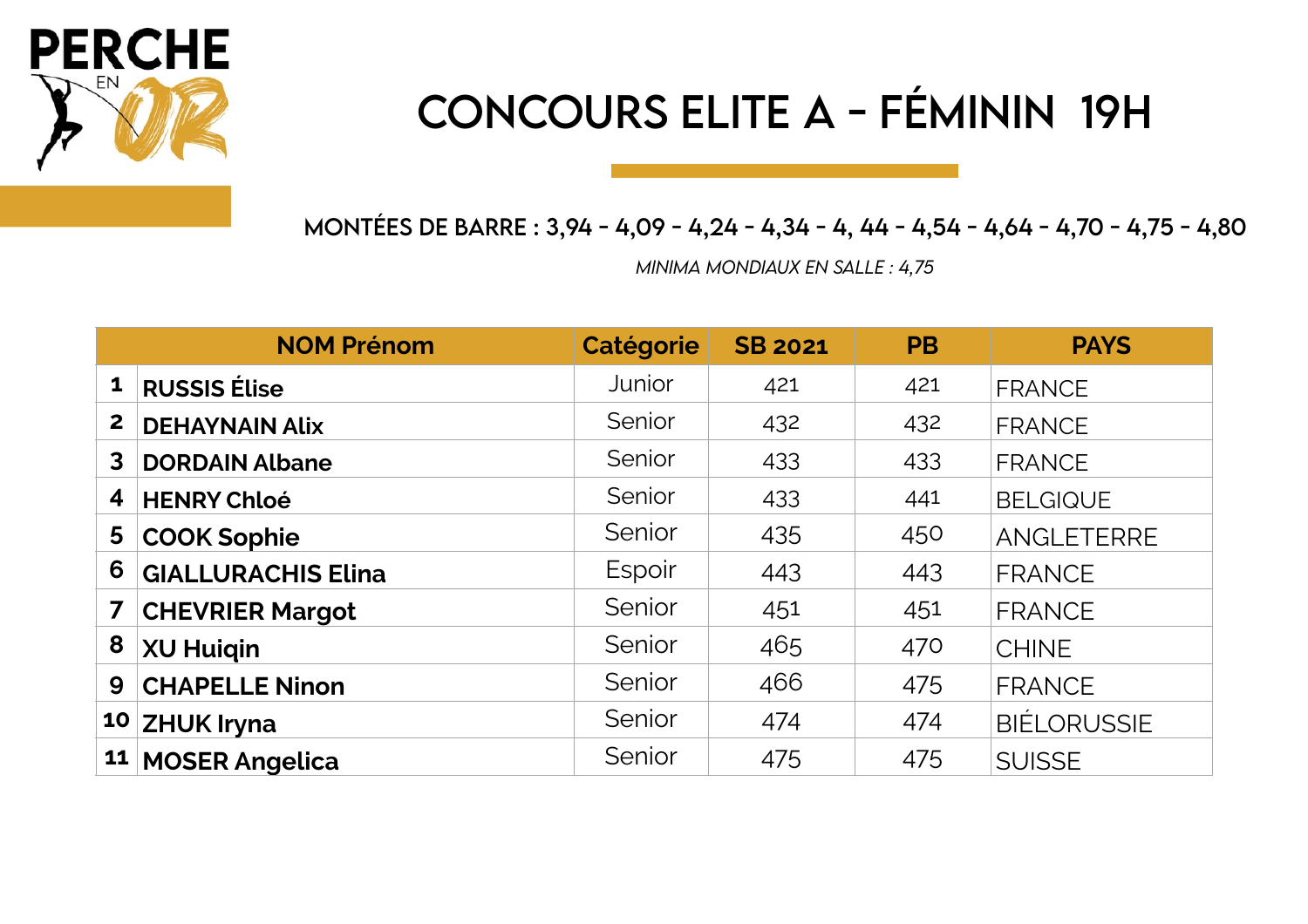

# CONCOURS ELITE A - FÉMININ 19H

MONTÉES DE BARRE : 3,94 - 4,09 - 4,24 - 4,34 - 4, 44 - 4,54 - 4,64 - 4,70 - 4,75 - 4,80

*MINIMA MONDiAUX EN SALLE : 4,75*

|                | <b>NOM Prénom</b>         | <b>Catégorie</b> | <b>SB 2021</b> | <b>PB</b> | <b>PAYS</b>        |
|----------------|---------------------------|------------------|----------------|-----------|--------------------|
| $\mathbf{1}$   | <b>RUSSIS Élise</b>       | Junior           | 421            | 421       | <b>FRANCE</b>      |
| $\overline{2}$ | <b>DEHAYNAIN Alix</b>     | Senior           | 432            | 432       | <b>FRANCE</b>      |
| 3              | <b>DORDAIN Albane</b>     | Senior           | 433            | 433       | <b>FRANCE</b>      |
| 4              | <b>HENRY Chloé</b>        | Senior           | 433            | 441       | <b>BELGIQUE</b>    |
| 5 <sup>1</sup> | <b>COOK Sophie</b>        | Senior           | 435            | 450       | ANGLETERRE         |
| 6              | <b>GIALLURACHIS Elina</b> | Espoir           | 443            | 443       | <b>FRANCE</b>      |
| 7 <sup>1</sup> | <b>CHEVRIER Margot</b>    | Senior           | 451            | 451       | <b>FRANCE</b>      |
| 8              | <b>XU Huigin</b>          | Senior           | 465            | 470       | <b>CHINE</b>       |
| 9              | <b>CHAPELLE Ninon</b>     | Senior           | 466            | 475       | <b>FRANCE</b>      |
|                | 10 ZHUK Iryna             | Senior           | 474            | 474       | <b>BIÉLORUSSIE</b> |
|                | 11 MOSER Angelica         | Senior           | 475            | 475       | <b>SUISSE</b>      |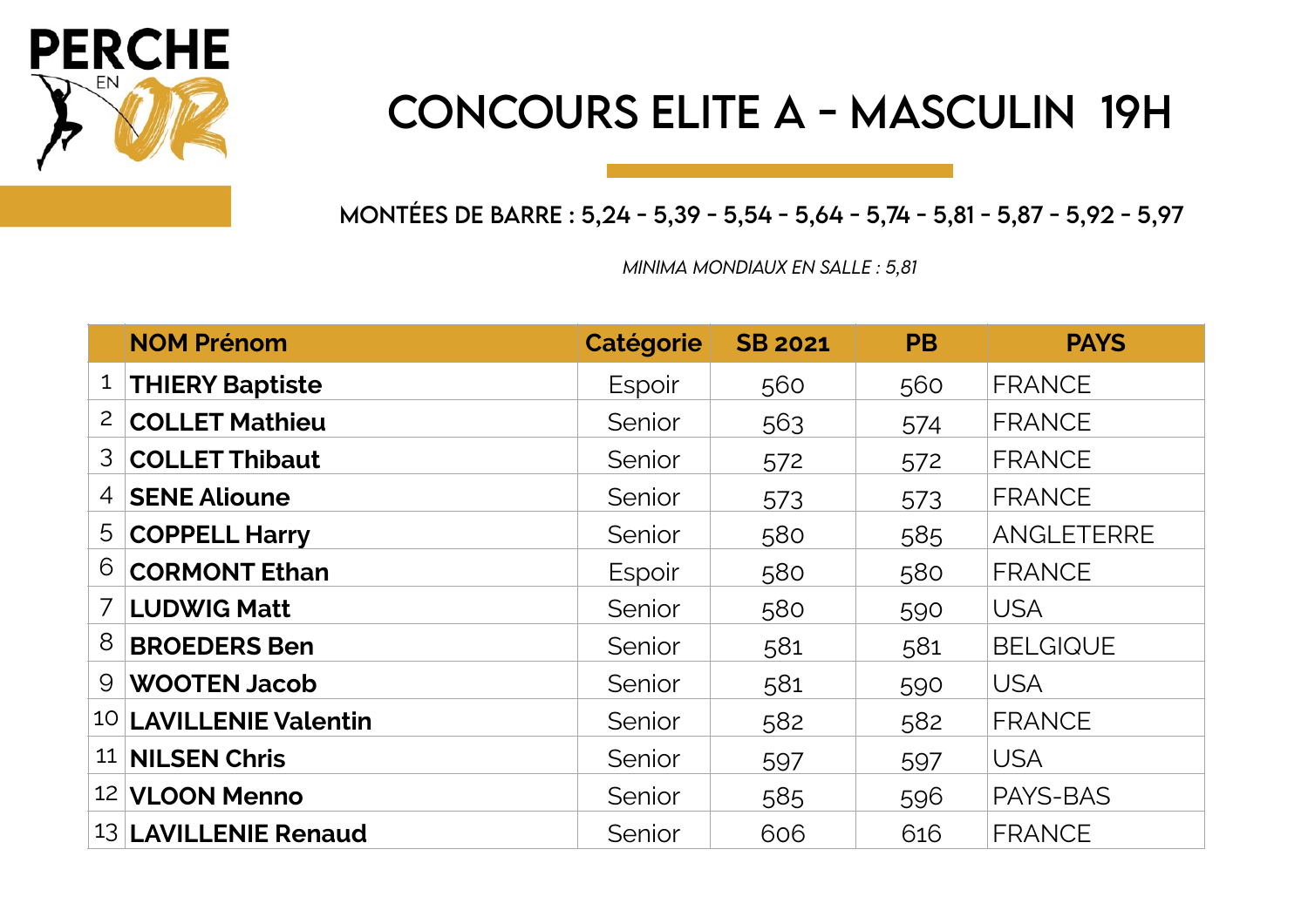

#### CONCOURS ELITE A - MASCULIN 19H

MONTÉES DE BARRE : 5,24 - 5,39 - 5,54 - 5,64 - 5,74 - 5,81 - 5,87 - 5,92 - 5,97

*MINIMA MONDiAUX EN SALLE : 5,81* 

|                | <b>NOM Prénom</b>            | <b>Catégorie</b> | <b>SB 2021</b> | <b>PB</b> | <b>PAYS</b>     |
|----------------|------------------------------|------------------|----------------|-----------|-----------------|
|                | <sup>1</sup> THIERY Baptiste | Espoir           | 560            | 560       | <b>FRANCE</b>   |
| $\overline{2}$ | <b>COLLET Mathieu</b>        | Senior           | 563            | 574       | <b>FRANCE</b>   |
| 3 <sup>1</sup> | <b>COLLET Thibaut</b>        | Senior           | 572            | 572       | <b>FRANCE</b>   |
|                | 4 SENE Alioune               | Senior           | 573            | 573       | <b>FRANCE</b>   |
|                | 5 COPPELL Harry              | Senior           | 580            | 585       | ANGLETERRE      |
| 6              | <b>CORMONT Ethan</b>         | Espoir           | 580            | 580       | <b>FRANCE</b>   |
|                | 7 LUDWIG Matt                | Senior           | 580            | 590       | <b>USA</b>      |
| 8              | <b>BROEDERS Ben</b>          | Senior           | 581            | 581       | <b>BELGIQUE</b> |
|                | 9 WOOTEN Jacob               | Senior           | 581            | 590       | <b>USA</b>      |
|                | 10 LAVILLENIE Valentin       | Senior           | 582            | 582       | <b>FRANCE</b>   |
|                | 11 NILSEN Chris              | Senior           | 597            | 597       | <b>USA</b>      |
|                | 12 VLOON Menno               | Senior           | 585            | 596       | PAYS-BAS        |
|                | 13 LAVILLENIE Renaud         | Senior           | 606            | 616       | <b>FRANCE</b>   |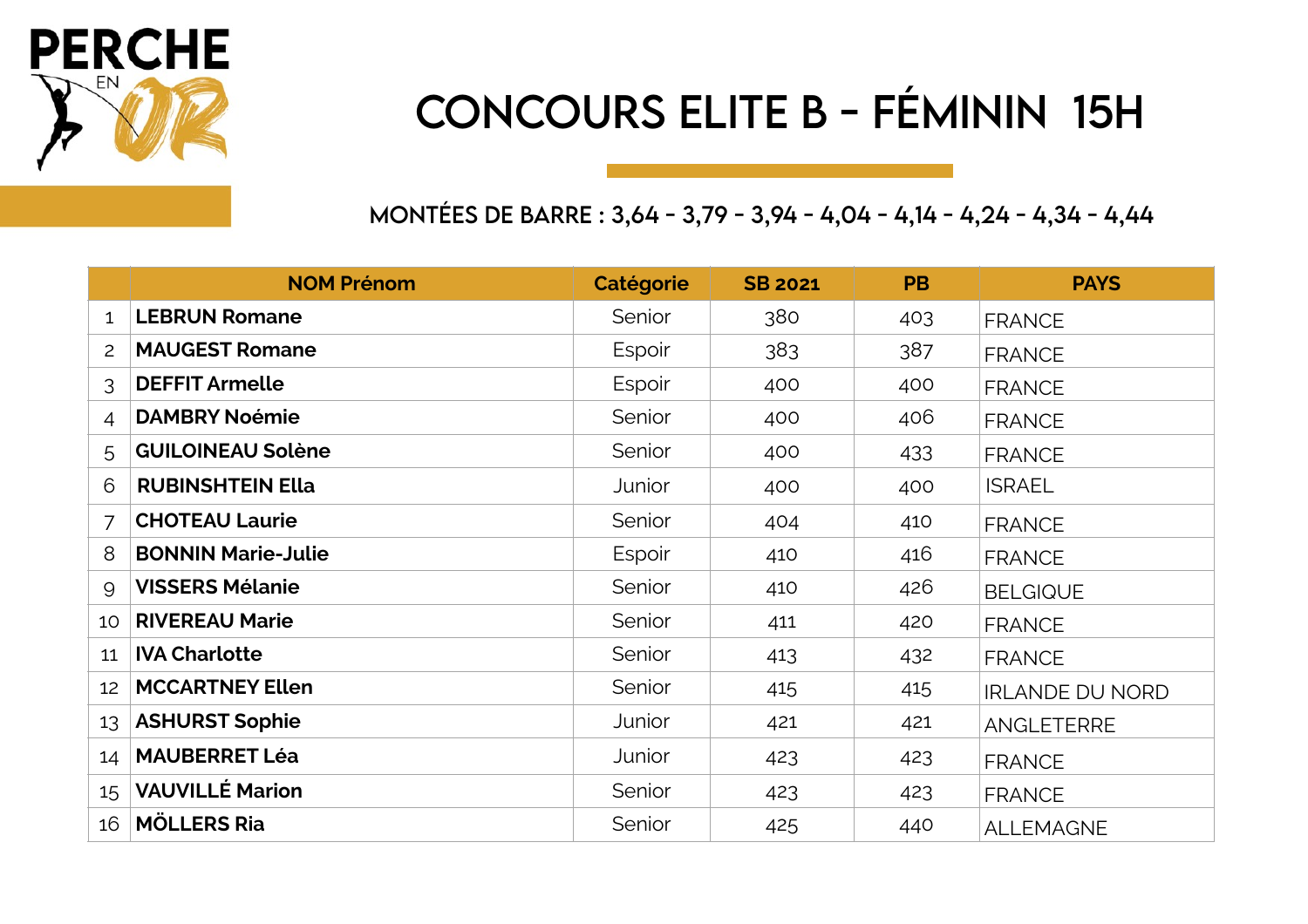

# CONCOURS ELITE B - FÉMiNiN 15H

MONTÉES DE BARRE : 3,64 - 3,79 - 3,94 - 4,04 - 4,14 - 4,24 - 4,34 - 4,44

|                 | <b>NOM Prénom</b>         | <b>Catégorie</b> | <b>SB 2021</b> | <b>PB</b> | <b>PAYS</b>            |
|-----------------|---------------------------|------------------|----------------|-----------|------------------------|
| $\mathbf{1}$    | <b>LEBRUN Romane</b>      | Senior           | 380            | 403       | <b>FRANCE</b>          |
| $\overline{2}$  | <b>MAUGEST Romane</b>     | Espoir           | 383            | 387       | <b>FRANCE</b>          |
| 3               | <b>DEFFIT Armelle</b>     | Espoir           | 400            | 400       | <b>FRANCE</b>          |
| 4               | <b>DAMBRY Noémie</b>      | Senior           | 400            | 406       | <b>FRANCE</b>          |
| 5               | <b>GUILOINEAU Solène</b>  | Senior           | 400            | 433       | <b>FRANCE</b>          |
| 6               | <b>RUBINSHTEIN Ella</b>   | Junior           | 400            | 400       | <b>ISRAEL</b>          |
| 7               | <b>CHOTEAU Laurie</b>     | Senior           | 404            | 410       | <b>FRANCE</b>          |
| 8               | <b>BONNIN Marie-Julie</b> | Espoir           | 410            | 416       | <b>FRANCE</b>          |
| 9               | <b>VISSERS Mélanie</b>    | Senior           | 410            | 426       | <b>BELGIQUE</b>        |
| 10 <sup>°</sup> | <b>RIVEREAU Marie</b>     | Senior           | 411            | 420       | <b>FRANCE</b>          |
| 11              | <b>IVA Charlotte</b>      | Senior           | 413            | 432       | <b>FRANCE</b>          |
| 12              | <b>MCCARTNEY Ellen</b>    | Senior           | 415            | 415       | <b>IRLANDE DU NORD</b> |
| 13              | <b>ASHURST Sophie</b>     | Junior           | 421            | 421       | <b>ANGLETERRE</b>      |
| 14              | <b>MAUBERRET Léa</b>      | Junior           | 423            | 423       | <b>FRANCE</b>          |
| 15 <sub>1</sub> | <b>VAUVILLÉ Marion</b>    | Senior           | 423            | 423       | <b>FRANCE</b>          |
| 16              | <b>MÖLLERS Ria</b>        | Senior           | 425            | 440       | <b>ALLEMAGNE</b>       |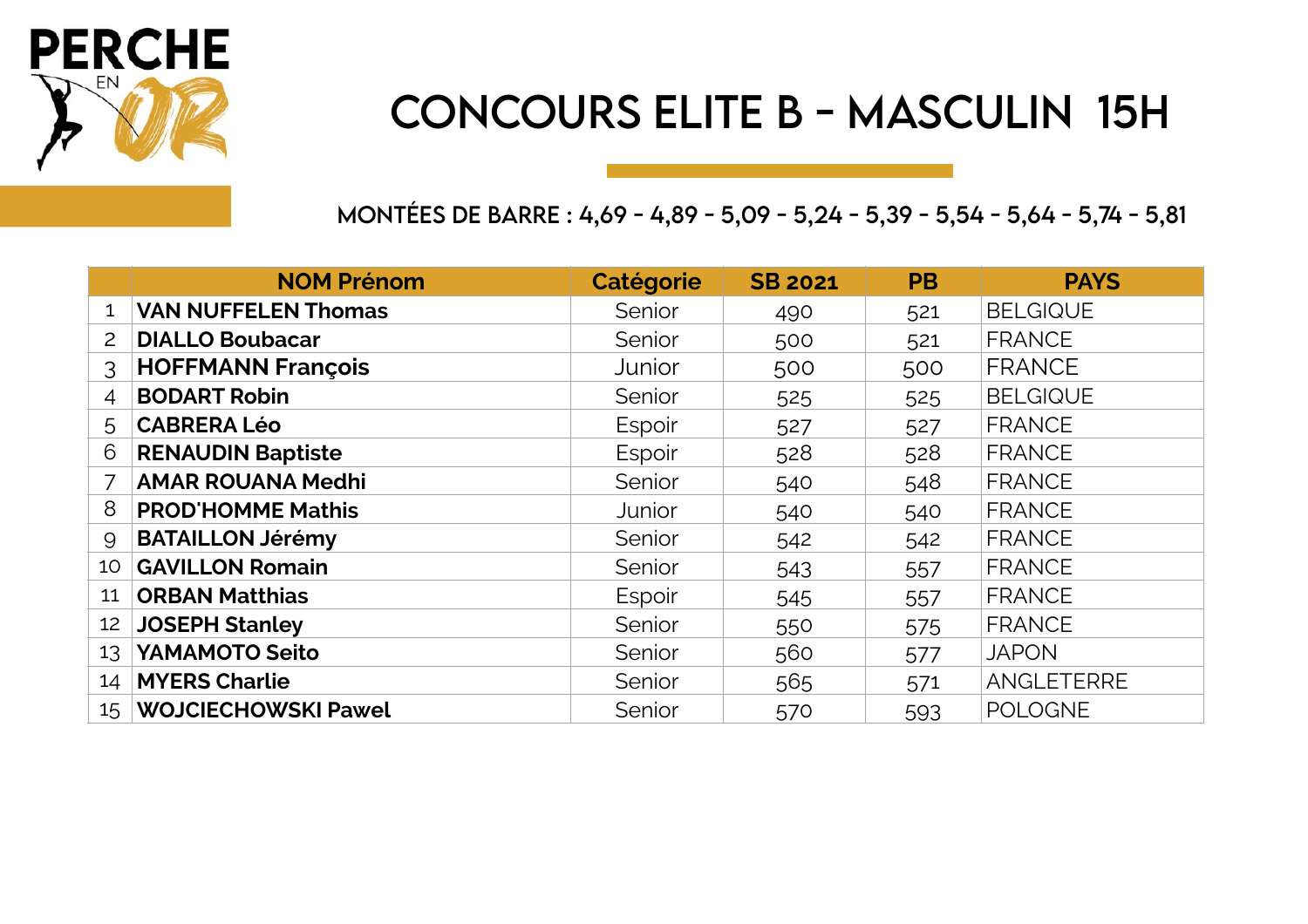

#### CONCOURS ELITE B - MASCULiN 15H

MONTÉES DE BARRE : 4,69 - 4,89 - 5,09 - 5,24 - 5,39 - 5,54 - 5,64 - 5,74 - 5,81

|                 | <b>NOM Prénom</b>          | Catégorie | <b>SB 2021</b> | <b>PB</b> | <b>PAYS</b>     |
|-----------------|----------------------------|-----------|----------------|-----------|-----------------|
| $\mathbf{1}$    | <b>VAN NUFFELEN Thomas</b> | Senior    | 490            | 521       | <b>BELGIQUE</b> |
| 2               | <b>DIALLO Boubacar</b>     | Senior    | 500<br>521     |           | <b>FRANCE</b>   |
| 3               | <b>HOFFMANN François</b>   | Junior    | 500            | 500       | <b>FRANCE</b>   |
| 4               | <b>BODART Robin</b>        | Senior    | 525            | 525       | <b>BELGIQUE</b> |
| 5               | <b>CABRERA Léo</b>         | Espoir    | 527            | 527       | <b>FRANCE</b>   |
| 6               | <b>RENAUDIN Baptiste</b>   | Espoir    | 528            | 528       | <b>FRANCE</b>   |
|                 | <b>AMAR ROUANA Medhi</b>   | Senior    | 540            | 548       | <b>FRANCE</b>   |
| 8               | <b>PROD'HOMME Mathis</b>   | Junior    | 540            | 540       | <b>FRANCE</b>   |
| 9               | <b>BATAILLON Jérémy</b>    | Senior    | 542            | 542       | <b>FRANCE</b>   |
| 10 <sup>°</sup> | <b>GAVILLON Romain</b>     | Senior    | 543            | 557       | <b>FRANCE</b>   |
| 11              | <b>ORBAN Matthias</b>      | Espoir    | 545            | 557       | <b>FRANCE</b>   |
| 12              | <b>JOSEPH Stanley</b>      | Senior    | 550            | 575       | <b>FRANCE</b>   |
| 13              | YAMAMOTO Seito             | Senior    | 560            | 577       | <b>JAPON</b>    |
| 14              | <b>MYERS Charlie</b>       | Senior    | 565            | 571       | ANGLETERRE      |
|                 | 15 WOJCIECHOWSKI Pawel     | Senior    | 570            | 593       | <b>POLOGNE</b>  |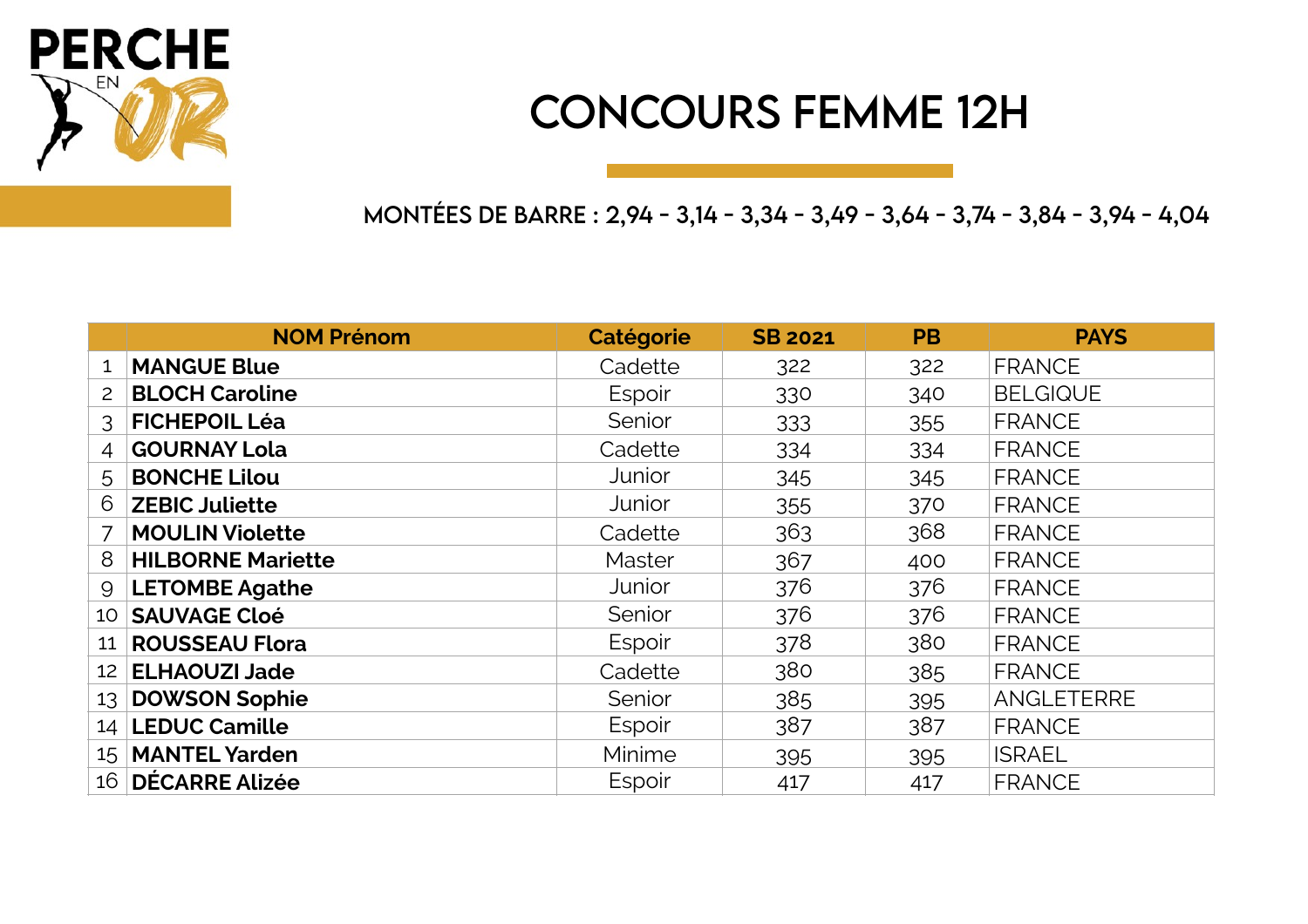

#### CONCOURS FEMME 12H

MONTÉES DE BARRE : 2,94 - 3,14 - 3,34 - 3,49 - 3,64 - 3,74 - 3,84 - 3,94 - 4,04

|                 | <b>NOM Prénom</b>        | Catégorie | <b>SB 2021</b> | <b>PB</b> | <b>PAYS</b>     |
|-----------------|--------------------------|-----------|----------------|-----------|-----------------|
| 1               | <b>MANGUE Blue</b>       | Cadette   | 322            | 322       | <b>FRANCE</b>   |
| $\overline{2}$  | <b>BLOCH Caroline</b>    | Espoir    | 330            | 340       | <b>BELGIQUE</b> |
| 3               | <b>FICHEPOIL Léa</b>     | Senior    | 333            | 355       | <b>FRANCE</b>   |
| $\overline{4}$  | <b>GOURNAY Lola</b>      | Cadette   | 334            | 334       | <b>FRANCE</b>   |
| 5               | <b>BONCHE Lilou</b>      | Junior    | 345            | 345       | <b>FRANCE</b>   |
| 6               | <b>ZEBIC Juliette</b>    | Junior    | 355            | 370       | <b>FRANCE</b>   |
|                 | <b>MOULIN Violette</b>   | Cadette   | 363            | 368       | <b>FRANCE</b>   |
| 8               | <b>HILBORNE Mariette</b> | Master    | 367            | 400       | <b>FRANCE</b>   |
| 9               | <b>LETOMBE Agathe</b>    | Junior    | 376            | 376       | <b>FRANCE</b>   |
|                 | 10 SAUVAGE Cloé          | Senior    | 376            | 376       | <b>FRANCE</b>   |
| 11              | <b>ROUSSEAU Flora</b>    | Espoir    | 378            | 380       | <b>FRANCE</b>   |
| 12 <sup>2</sup> | <b>ELHAOUZI Jade</b>     | Cadette   | 380            | 385       | <b>FRANCE</b>   |
|                 | 13 DOWSON Sophie         | Senior    | 385            | 395       | ANGLETERRE      |
|                 | 14   LEDUC Camille       | Espoir    | 387            | 387       | <b>FRANCE</b>   |
|                 | 15   MANTEL Yarden       | Minime    | 395            | 395       | <b>ISRAEL</b>   |
|                 | 16 DÉCARRE Alizée        | Espoir    | 417            | 417       | <b>FRANCE</b>   |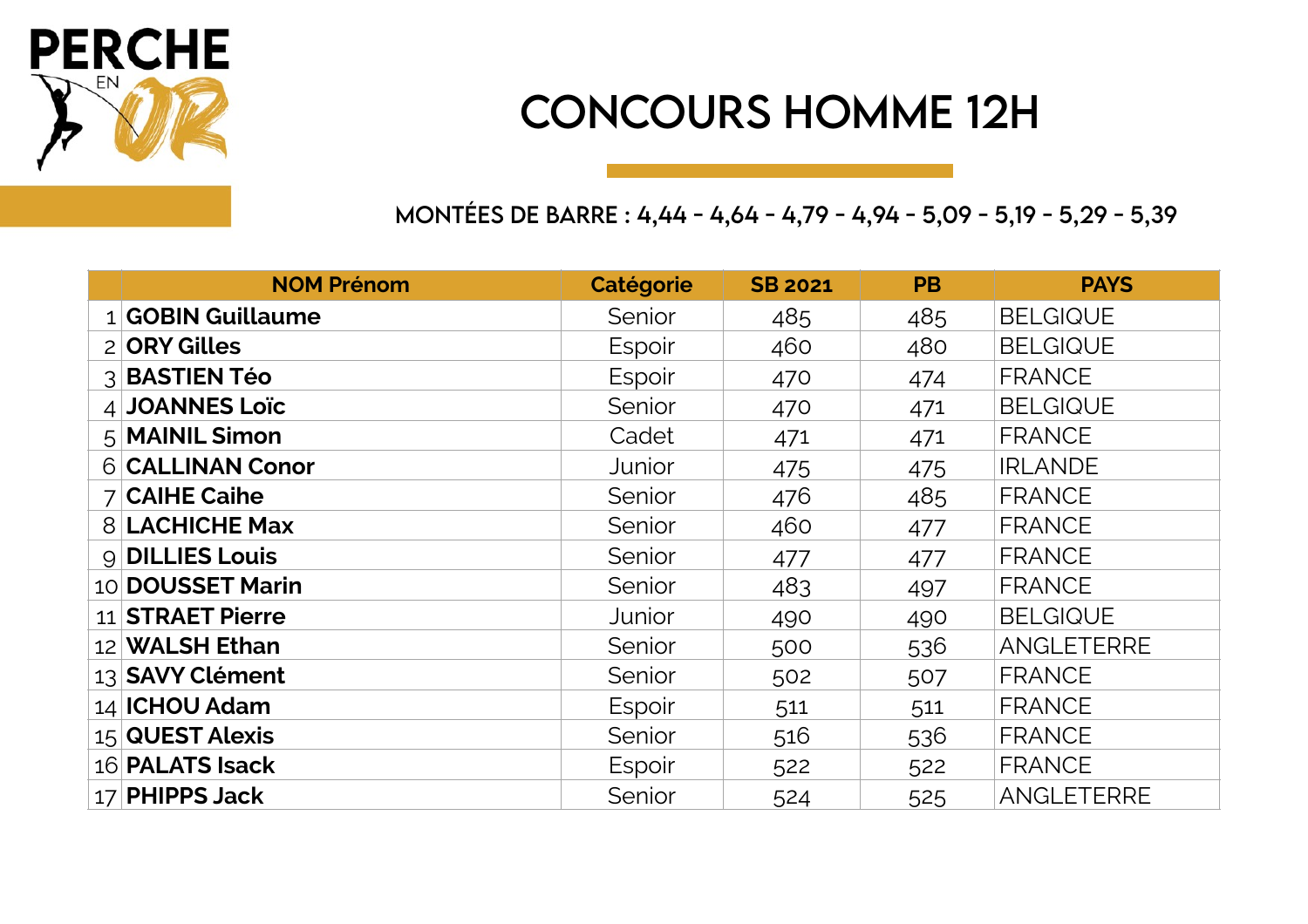

#### CONCOURS HOMME 12H

MONTÉES DE BARRE : 4,44 - 4,64 - 4,79 - 4,94 - 5,09 - 5,19 - 5,29 - 5,39

| <b>NOM Prénom</b>     | <b>Catégorie</b> | <b>SB 2021</b> | <b>PB</b> | <b>PAYS</b>       |
|-----------------------|------------------|----------------|-----------|-------------------|
| 1 GOBIN Guillaume     | Senior           | 485            | 485       | <b>BELGIQUE</b>   |
| 2 ORY Gilles          | Espoir           | 460            | 480       | <b>BELGIQUE</b>   |
| 3 BASTIEN Téo         | Espoir           | 470            | 474       | <b>FRANCE</b>     |
| 4 JOANNES Loïc        | Senior           | 470            | 471       | <b>BELGIQUE</b>   |
| 5 MAINIL Simon        | Cadet            | 471            | 471       | <b>FRANCE</b>     |
| 6 CALLINAN Conor      | Junior           | 475            | 475       | <b>IRLANDE</b>    |
| $7$ CAIHE Caihe       | Senior           | 476            | 485       | <b>FRANCE</b>     |
| <b>8 LACHICHE Max</b> | Senior           | 460            | 477       | <b>FRANCE</b>     |
| 9 DILLIES Louis       | Senior           | 477            | 477       | <b>FRANCE</b>     |
| 10 DOUSSET Marin      | Senior           | 483            | 497       | <b>FRANCE</b>     |
| 11 STRAET Pierre      | Junior           | 490            | 490       | <b>BELGIQUE</b>   |
| 12 WALSH Ethan        | Senior           | 500            | 536       | ANGLETERRE        |
| 13 SAVY Clément       | Senior           | 502            | 507       | <b>FRANCE</b>     |
| 14 ICHOU Adam         | Espoir           | 511            | 511       | <b>FRANCE</b>     |
| 15 QUEST Alexis       | Senior           | 516            | 536       | <b>FRANCE</b>     |
| 16 PALATS Isack       | Espoir           | 522            | 522       | <b>FRANCE</b>     |
| 17 PHIPPS Jack        | Senior           | 524            | 525       | <b>ANGLETERRE</b> |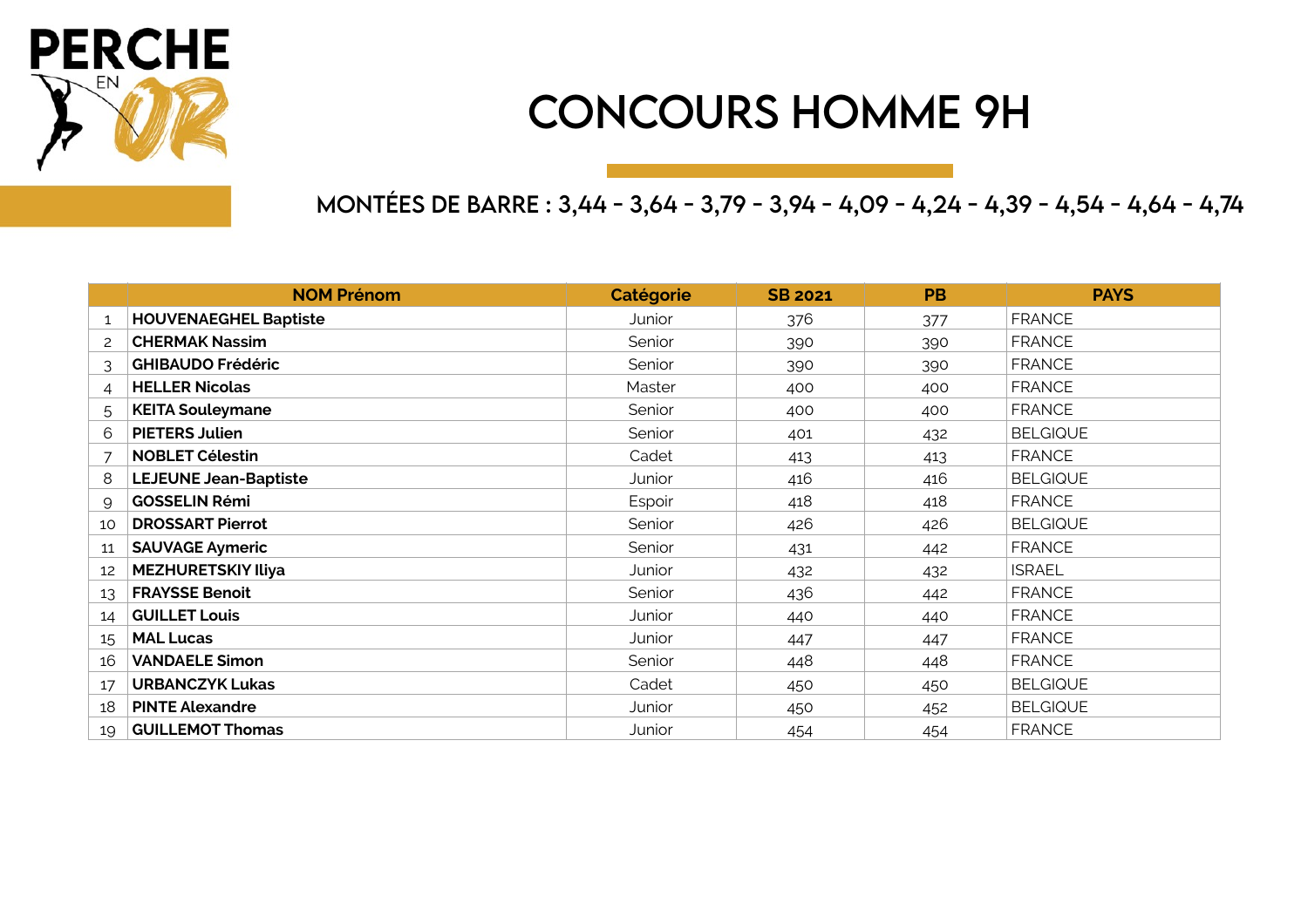

#### CONCOURS HOMME 9H

MONTÉES DE BARRE : 3,44 - 3,64 - 3,79 - 3,94 - 4,09 - 4,24 - 4,39 - 4,54 - 4,64 - 4,74

|                           | <b>NOM Prénom</b>            | Catégorie | <b>SB 2021</b> | <b>PB</b> | <b>PAYS</b>     |
|---------------------------|------------------------------|-----------|----------------|-----------|-----------------|
| 1                         | <b>HOUVENAEGHEL Baptiste</b> | Junior    | 376<br>377     |           | <b>FRANCE</b>   |
| $\mathsf{2}^{\mathsf{2}}$ | <b>CHERMAK Nassim</b>        | Senior    | 390            |           | <b>FRANCE</b>   |
| 3                         | <b>GHIBAUDO Frédéric</b>     | Senior    | 390            | 390       | <b>FRANCE</b>   |
| 4                         | <b>HELLER Nicolas</b>        | Master    | 400            | 400       | <b>FRANCE</b>   |
| 5.                        | <b>KEITA Souleymane</b>      | Senior    | 400            | 400       | <b>FRANCE</b>   |
| 6                         | <b>PIETERS Julien</b>        | Senior    | 401            | 432       | <b>BELGIQUE</b> |
| $\overline{7}$            | <b>NOBLET Célestin</b>       | Cadet     | 413            | 413       | <b>FRANCE</b>   |
| 8                         | <b>LEJEUNE Jean-Baptiste</b> | Junior    | 416            | 416       | <b>BELGIQUE</b> |
| 9                         | <b>GOSSELIN Rémi</b>         | Espoir    | 418            | 418       | <b>FRANCE</b>   |
| 10                        | <b>DROSSART Pierrot</b>      | Senior    | 426            | 426       | <b>BELGIQUE</b> |
| 11                        | <b>SAUVAGE Aymeric</b>       | Senior    | 431            | 442       | <b>FRANCE</b>   |
| 12                        | <b>MEZHURETSKIY Iliya</b>    | Junior    | 432            | 432       | <b>ISRAEL</b>   |
| 13                        | <b>FRAYSSE Benoit</b>        | Senior    | 436            | 442       | <b>FRANCE</b>   |
| 14                        | <b>GUILLET Louis</b>         | Junior    | 440            | 440       | <b>FRANCE</b>   |
| 15                        | <b>MAL Lucas</b>             | Junior    | 447            | 447       | <b>FRANCE</b>   |
| 16                        | <b>VANDAELE Simon</b>        | Senior    | 448            | 448       | <b>FRANCE</b>   |
| 17                        | <b>URBANCZYK Lukas</b>       | Cadet     | 450            | 450       | <b>BELGIQUE</b> |
| 18                        | <b>PINTE Alexandre</b>       | Junior    | 450            | 452       | <b>BELGIQUE</b> |
| 19                        | <b>GUILLEMOT Thomas</b>      | Junior    | 454            | 454       | <b>FRANCE</b>   |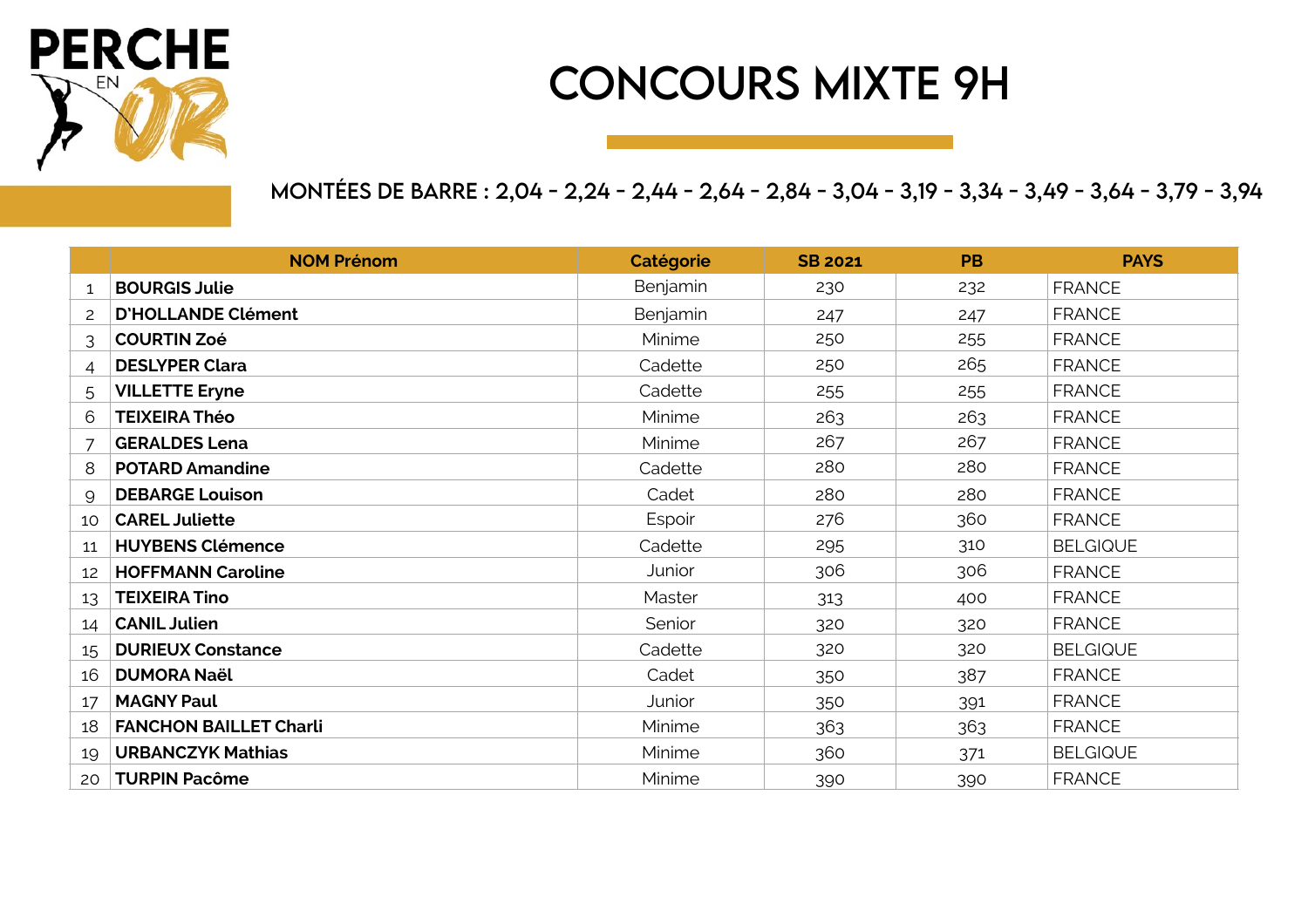

## CONCOURS MIXTE 9H

#### MONTÉES DE BARRE : 2,04 - 2,24 - 2,44 - 2,64 - 2,84 - 3,04 - 3,19 - 3,34 - 3,49 - 3,64 - 3,79 - 3,94

|    | <b>NOM Prénom</b>             | Catégorie | <b>SB 2021</b> | <b>PB</b> | <b>PAYS</b>     |
|----|-------------------------------|-----------|----------------|-----------|-----------------|
| 1  | <b>BOURGIS Julie</b>          | Benjamin  | 230            | 232       | <b>FRANCE</b>   |
| 2  | <b>D'HOLLANDE Clément</b>     | Benjamin  | 247            | 247       | <b>FRANCE</b>   |
| 3  | <b>COURTIN Zoé</b>            | Minime    | 250            | 255       | <b>FRANCE</b>   |
| 4  | <b>DESLYPER Clara</b>         | Cadette   | 250            | 265       | <b>FRANCE</b>   |
| 5  | <b>VILLETTE Eryne</b>         | Cadette   | 255            | 255       | <b>FRANCE</b>   |
| 6  | <b>TEIXEIRA Théo</b>          | Minime    | 263            | 263       | <b>FRANCE</b>   |
|    | <b>GERALDES Lena</b>          | Minime    | 267            | 267       | <b>FRANCE</b>   |
| 8  | <b>POTARD Amandine</b>        | Cadette   | 280            | 280       | <b>FRANCE</b>   |
| 9  | <b>DEBARGE Louison</b>        | Cadet     | 280            | 280       | <b>FRANCE</b>   |
| 10 | <b>CAREL Juliette</b>         | Espoir    | 276            | 360       | <b>FRANCE</b>   |
| 11 | <b>HUYBENS Clémence</b>       | Cadette   | 295            | 310       | <b>BELGIQUE</b> |
| 12 | <b>HOFFMANN Caroline</b>      | Junior    | 306            | 306       | <b>FRANCE</b>   |
| 13 | <b>TEIXEIRA Tino</b>          | Master    | 313            | 400       | <b>FRANCE</b>   |
| 14 | <b>CANIL Julien</b>           | Senior    | 320            | 320       | <b>FRANCE</b>   |
| 15 | <b>DURIEUX Constance</b>      | Cadette   | 320            | 320       | <b>BELGIQUE</b> |
| 16 | <b>DUMORA Naël</b>            | Cadet     | 350            | 387       | <b>FRANCE</b>   |
| 17 | <b>MAGNY Paul</b>             | Junior    | 350            | 391       | <b>FRANCE</b>   |
| 18 | <b>FANCHON BAILLET Charli</b> | Minime    | 363            | 363       | <b>FRANCE</b>   |
| 19 | <b>URBANCZYK Mathias</b>      | Minime    | 360            | 371       | <b>BELGIQUE</b> |
| 20 | <b>TURPIN Pacôme</b>          | Minime    | 390            | 390       | <b>FRANCE</b>   |